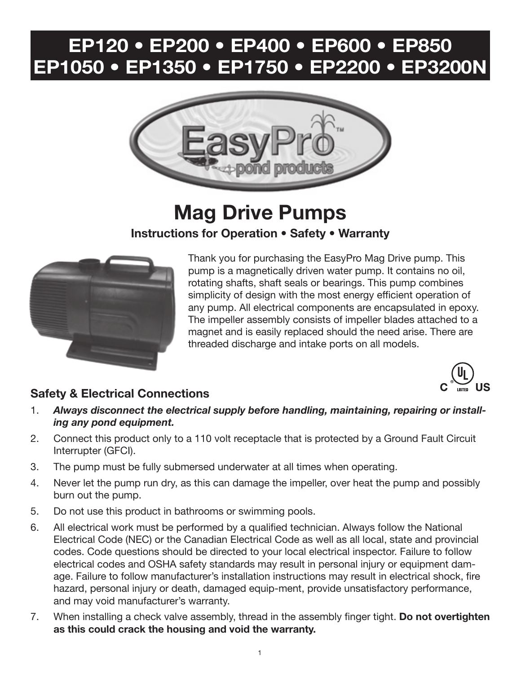# **EP120 • EP200 • EP400 • EP600 • EP850 EP1050 • EP1350 • EP1750 • EP2200 • EP3200N**



# **Mag Drive Pumps Instructions for Operation • Safety • Warranty**



Thank you for purchasing the EasyPro Mag Drive pump. This pump is a magnetically driven water pump. It contains no oil, rotating shafts, shaft seals or bearings. This pump combines simplicity of design with the most energy efficient operation of any pump. All electrical components are encapsulated in epoxy. The impeller assembly consists of impeller blades attached to a magnet and is easily replaced should the need arise. There are threaded discharge and intake ports on all models.

### **Safety & Electrical Connections**



- 2. Connect this product only to a 110 volt receptacle that is protected by a Ground Fault Circuit Interrupter (GFCI).
- 3. The pump must be fully submersed underwater at all times when operating.
- 4. Never let the pump run dry, as this can damage the impeller, over heat the pump and possibly burn out the pump.
- 5. Do not use this product in bathrooms or swimming pools.
- 6. All electrical work must be performed by a qualified technician. Always follow the National Electrical Code (NEC) or the Canadian Electrical Code as well as all local, state and provincial codes. Code questions should be directed to your local electrical inspector. Failure to follow electrical codes and OSHA safety standards may result in personal injury or equipment damage. Failure to follow manufacturer's installation instructions may result in electrical shock, fire hazard, personal injury or death, damaged equip-ment, provide unsatisfactory performance, and may void manufacturer's warranty.
- 7. When installing a check valve assembly, thread in the assembly finger tight. **Do not overtighten as this could crack the housing and void the warranty.**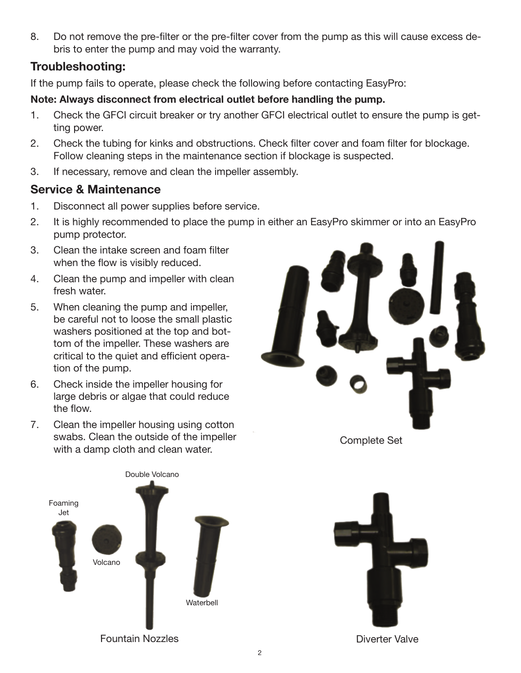8. Do not remove the pre-filter or the pre-filter cover from the pump as this will cause excess debris to enter the pump and may void the warranty.

#### **Troubleshooting:**

If the pump fails to operate, please check the following before contacting EasyPro:

#### **Note: Always disconnect from electrical outlet before handling the pump.**

- 1. Check the GFCI circuit breaker or try another GFCI electrical outlet to ensure the pump is getting power.
- 2. Check the tubing for kinks and obstructions. Check filter cover and foam filter for blockage. Follow cleaning steps in the maintenance section if blockage is suspected.
- 3. If necessary, remove and clean the impeller assembly.

#### **Service & Maintenance**

- 1. Disconnect all power supplies before service.
- 2. It is highly recommended to place the pump in either an EasyPro skimmer or into an EasyPro pump protector.
- 3. Clean the intake screen and foam filter when the flow is visibly reduced.
- 4. Clean the pump and impeller with clean fresh water.
- 5. When cleaning the pump and impeller, be careful not to loose the small plastic washers positioned at the top and bottom of the impeller. These washers are critical to the quiet and efficient operation of the pump.
- 6. Check inside the impeller housing for large debris or algae that could reduce the flow.
- 7. Clean the impeller housing using cotton swabs. Clean the outside of the impeller with a damp cloth and clean water.



Complete Set





Diverter Valve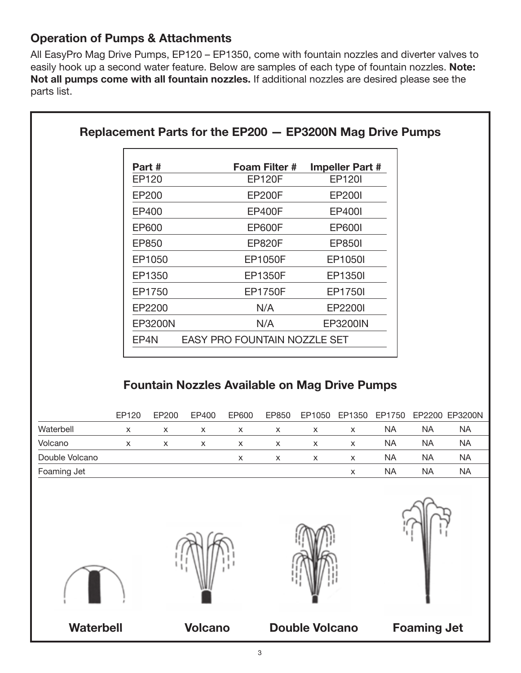## **Operation of Pumps & Attachments**

All EasyPro Mag Drive Pumps, EP120 – EP1350, come with fountain nozzles and diverter valves to easily hook up a second water feature. Below are samples of each type of fountain nozzles. **Note: Not all pumps come with all fountain nozzles.** If additional nozzles are desired please see the parts list.

|           |        | Part#          |                           |               | Foam Filter #                                                 |                           | <b>Impeller Part #</b> |           |           |                |
|-----------|--------|----------------|---------------------------|---------------|---------------------------------------------------------------|---------------------------|------------------------|-----------|-----------|----------------|
|           |        | EP120          | <b>EP120F</b>             |               |                                                               |                           | <b>EP120I</b>          |           |           |                |
|           |        | EP200          |                           | <b>EP200F</b> |                                                               |                           | <b>EP200I</b>          |           |           |                |
|           |        | EP400          |                           |               | <b>EP400F</b>                                                 |                           | <b>EP400I</b>          |           |           |                |
|           |        | EP600          |                           |               | <b>EP600F</b>                                                 |                           | <b>EP600I</b>          |           |           |                |
|           |        | EP850          |                           |               | <b>EP820F</b>                                                 |                           | <b>EP850I</b>          |           |           |                |
| EP1050    |        |                | <b>EP1050F</b>            |               |                                                               |                           | EP1050I                |           |           |                |
|           |        | EP1350         | <b>EP1350F</b>            |               |                                                               |                           | EP1350I                |           |           |                |
|           | EP1750 |                | <b>EP1750F</b>            |               |                                                               |                           | EP1750I                |           |           |                |
|           |        | EP2200         | N/A                       |               |                                                               |                           | EP2200I                |           |           |                |
|           |        | <b>EP3200N</b> |                           | N/A           |                                                               |                           | <b>EP3200IN</b>        |           |           |                |
|           |        | EP4N           |                           |               | EASY PRO FOUNTAIN NOZZLE SET                                  |                           |                        |           |           |                |
|           | EP120  | EP200          | EP400                     | EP600         | <b>Fountain Nozzles Available on Mag Drive Pumps</b><br>EP850 | EP1050                    | EP1350                 | EP1750    |           | EP2200 EP3200N |
| Waterbell | X      | X              | $\boldsymbol{\mathsf{x}}$ | X             | X                                                             | $\boldsymbol{\mathsf{x}}$ | X                      | <b>NA</b> | <b>NA</b> | <b>NA</b>      |
|           |        |                |                           |               |                                                               |                           |                        | <b>NA</b> |           |                |